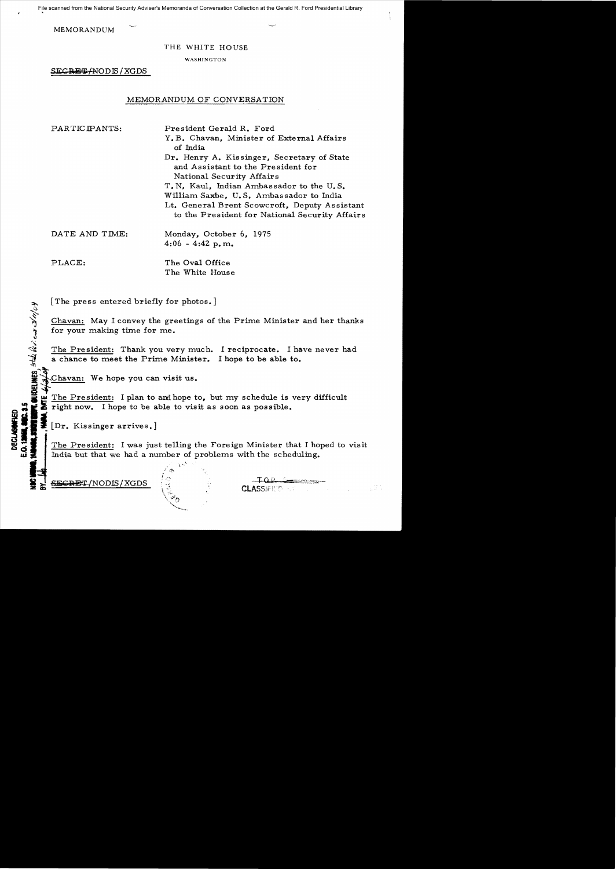File scanned from the National Security Adviser's Memoranda of Conversation Collection at the Gerald R. Ford Presidential Library

MEMORANDUM

#### THE WHITE HOUSE

WASHINGTON

SECRETHNODIS / XGDS

## MEMORANDUM OF CONVERSATION

PARTICIPANTS: President Gerald R. Ford Y. B. Chavan, Minister of External Affairs of India Dr. Henry A. Kissinger, Secretary of State and Assistant to the President for National Security Affairs T. N. Kaul. Indian Ambassador to the U.S. William Saxbe, U. S. Ambassador to India Lt. General Brent Scowcroft, Deputy Assistant to the President for National Security Affairs

DATE AND TIME: Monday, October 6, 1975  $4:06 - 4:42$  p.m.

 $^{\prime\prime}$ :

PLACE: The Oval Office The White House

[The press entered briefly for photos.]

Chavan: May I convey the greetings of the Prime Minister and her thanks for your making time for me.

The President: Thank you very much. I reciprocate. I have never had a chance to meet the Prime Minister. I hope to be able to.

Chavan: We hope you can visit us.<br>The President: I plan to and hope to, but my schedule is very difficult<br>right now. I hope to be able to visit as soon as possible.

[Dr. Kissinger arrives.]<br>The President: I was just telling the Foreign Minister that I hoped to visit India but that we had a number of problems with the scheduling.

SEGRET/NODIS/XGDS

**CLASSIFIED**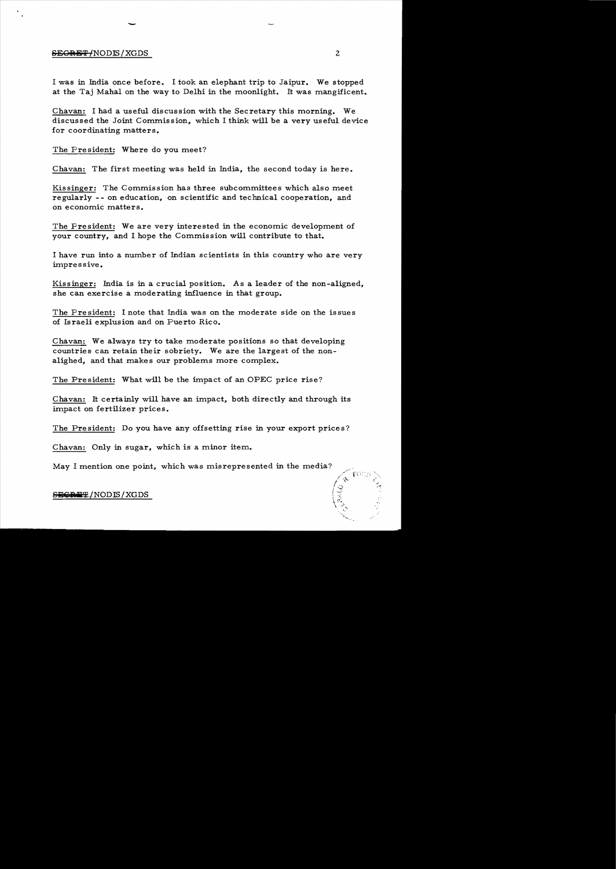#### SEGRET/NODIS/XGDS 2

I was in India once before. I took an elephant trip to Jaipur. We stopped at the Taj Mahal on the way to Delhi in the moonlight. It was mangificent.

Chavan: I had a useful discussion with the Secretary this morning. We discussed the Joint Commission, which I think will be a very useful device for coordinating matters.

The President: Where do you meet?

-

Chavan: The first meeting was held in India, the second today is here.

Kissinger: The Commission has three subcommittees which also meet regularly - - on education, on scientific and technical cooperation, and on economic matters.

The President: We are very interested in the economic development of your country, and I hope the Commission will contribute to that.

I have run into a number of Indian scientists in this country who are very impressive.

Kissinger: India is in a crucial position. As a leader of the non-aligned, she can exercise a moderating influence in that group.

The President: I note that India was on the moderate side on the issues of Israeli explusion and on Puerto Rico.

Chavan: We always try to take moderate positions so that developing countries can retain their sobriety. We are the largest of the non alighed, and that makes our problems more complex.

The President: What will be the impact of an OPEC price rise?

Chavan: It certainly will have an impact, both directly and through its impact on fertilizer prices.

The President: Do you have any offsetting rise in your export prices?

Chavan: Only in sugar, which is a minor item.

May I mention one point, which was misrepresented in the media?

 $S$ **EGRET/NODIS/XGDS** 

ARCANA CARACTER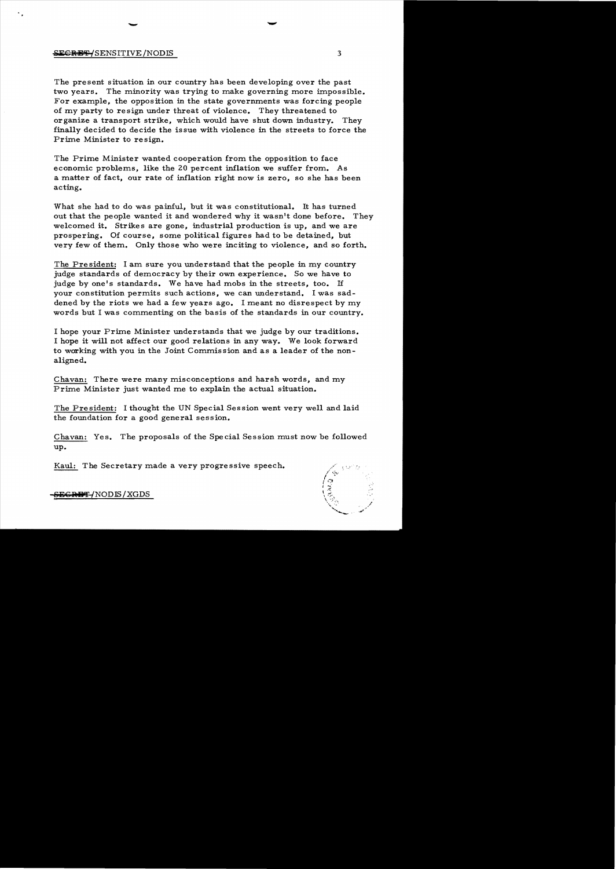### **SECRE⊕/**SENSITIVE/NODIS 3

The present situation in our country has been developing over the past two years. The minority was trying to make governing more impossible. For example, the opposition in the state governments was forcing people of my party to resign under threat of violence. They threatened to organize a transport strike, which would have shut down industry. They finally decided to decide the issue with violence in the streets to force the Prime Minister to resign.

- -

The Prime Minister wanted cooperation from the opposition to face economic problems, like the 20 percent inflation we suffer from. As a matter of fact, our rate of inflation right now is zero, so she has been acting.

What she had to do was painful, but it was constitutional. It has turned out that the people wanted it and wondered why it wasn't done before. They welcomed it. Strikes are gone, industrial production is up, and we are prospering. Of course, some political figures had to be detained, but very few of them. Only those who were inciting to violence, and so forth.

The Pre sident: I am sure you understand that the people in my country judge standards of democracy by their own experience. So we have to judge by one's standards. We have had mobs in the streets, too. If your constitution permits such actions, we can understand. I was saddened by the riots we had a few years ago. I meant no disrespect by my words but I was commenting on the basis of the standards in our country.

I hope your Prime Minister understands that we judge by our traditions. I hope it will not affect our good relations in any way. We look forward to working with you in the Joint Commission and as a leader of the nonaligned.

Chavan: There were many misconceptions and harsh words, and my Prime Minister just wanted me to explain the actual situation.

The President: I thought the UN Special Session went very well and laid the foundation for a good general session.

Chavan: Yes. The proposals of the Special Session must now be followed up.

Kaul: The Secretary made a very progressive speech.

 $\left( \frac{1}{2} \right)$ 

<del>EGRET/</del>NODIS/XGDS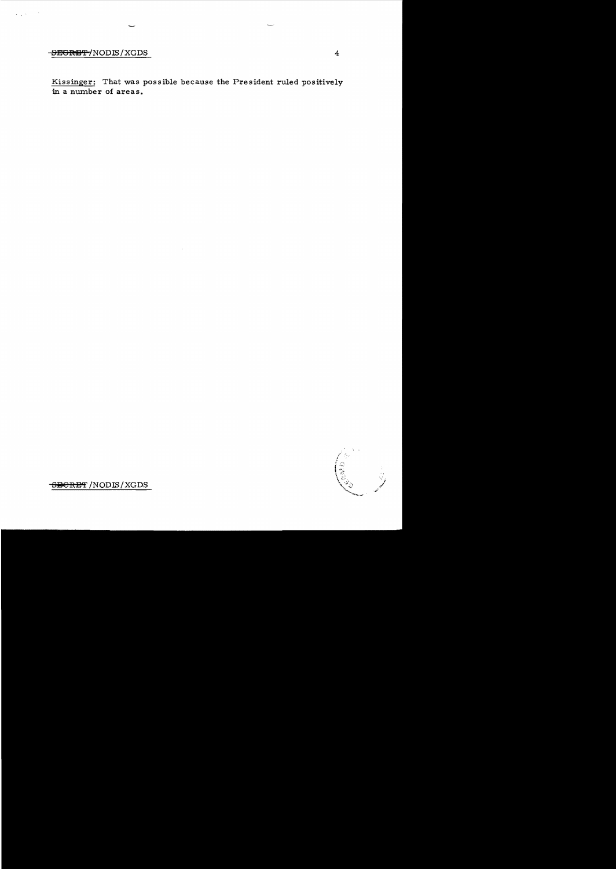# **SEGRET/NODIS/XGDS** 4

 $\sim$   $\alpha$  $\mathcal{L}(\mathcal{L},\mathcal{L})$ 

> Kissinger: That was possible because the President ruled positively in a number of areas.

**SPORET** /NODIS/XGDS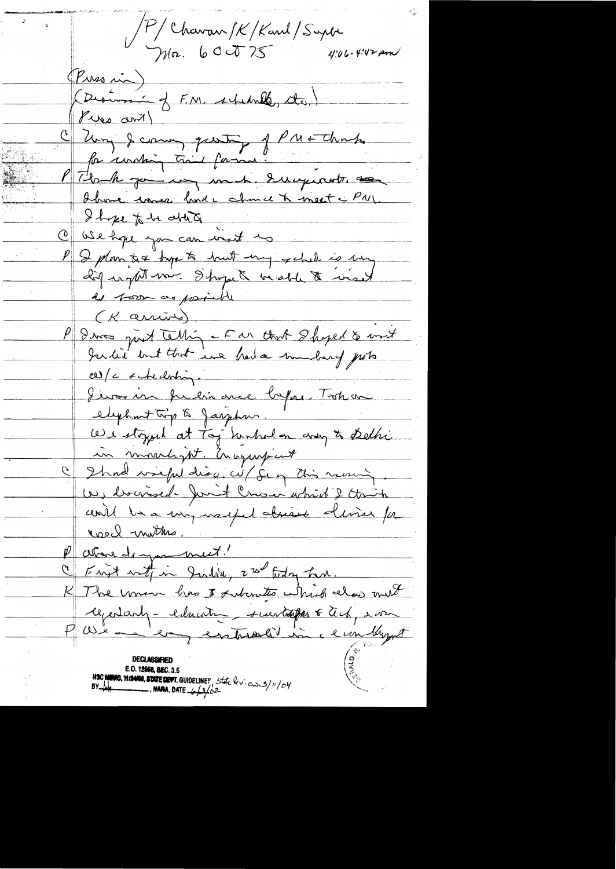P/Chavan/K/Kanl/Supter<br>Moz. 600075 4:06-4:42 pm (Puss in) (Desire of F.N. schedule, de) Pipe ant C Zung & comme questo of Pritters P Flomme vous ment de la mest et et Il je to be able to C ase hope you can went in I plan tre tupe to hust my schil is my  $(K$  arrives) P deux just tellig - E ar that Shyed & unit  $c$  /  $c$  / the doring Jevoien présionnée lapre Tostica elephant trip to Jasphur. We stoyed at Tog hinhed on any to Delhi in movedigt. Companyment I Shad wright disc, wil fe of this nearly. We braised fort Crown which I think unit be a very useful absent device for real mutters. above de you meet! Frit with in Judia, 2 nd today har. The une has I subcrates which also not  $\mathcal{K}_+$ regardants - education suivant le Tech avec Paris de la completion du la **DECLASSIFIET** E.O. 12958, SEC. 3.5 NSC MINIO, 11/24/08, STATE DEFT. GUIDELINES, State but en 3/11/04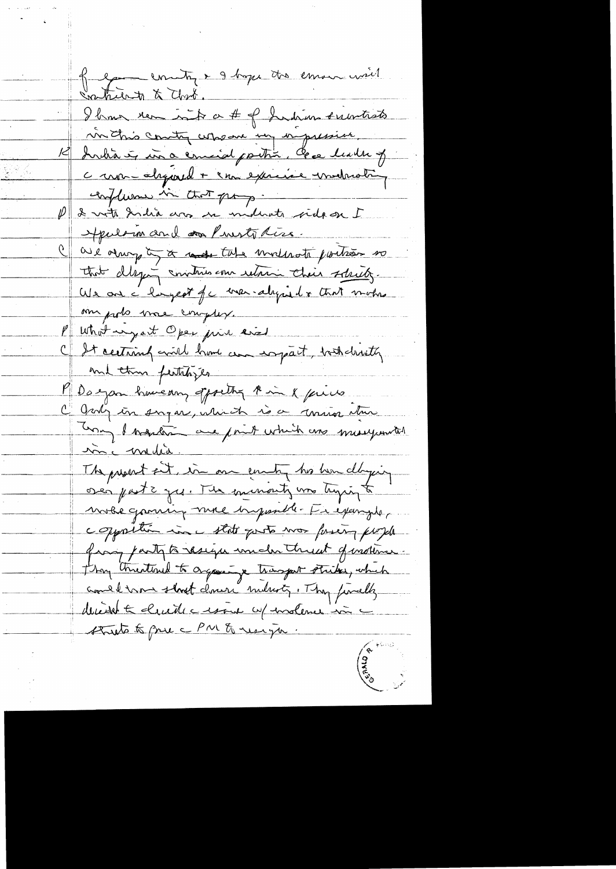la de la France de la Comme mil Saturn & Clark. Ibon rem intr a # of Judium substituts in this country who are un in pression India is in a comid poitin, case leader of c mon-alogared + com exercise indrating confluence in that prop. P & vote India ans ne molente side on I Apulomand and mest tiss. G are always to the moderate portion so that dleging communis come return their schietz. We are i hangest for man-aligned & that mother me podo mae complex. P what my at Open prin and C It certains will have an expact, but dristly. mil thin feithbijes Magan howevery offorthy the in x pieces July in sugar, which is a union there Una d'arquetis aux points which are mereganited inc media. The present ent, in one county his her daying oser parts yes. The minority was linger to mobe graving more imposible. En exemplo, copposition in that goots was foreing purple frain party to reseign under threat of instince. they threatened to organize transport strikes, which assel more short down industry. They finally decident le cliente cessaire up insteme in struto to pre c PM & resign.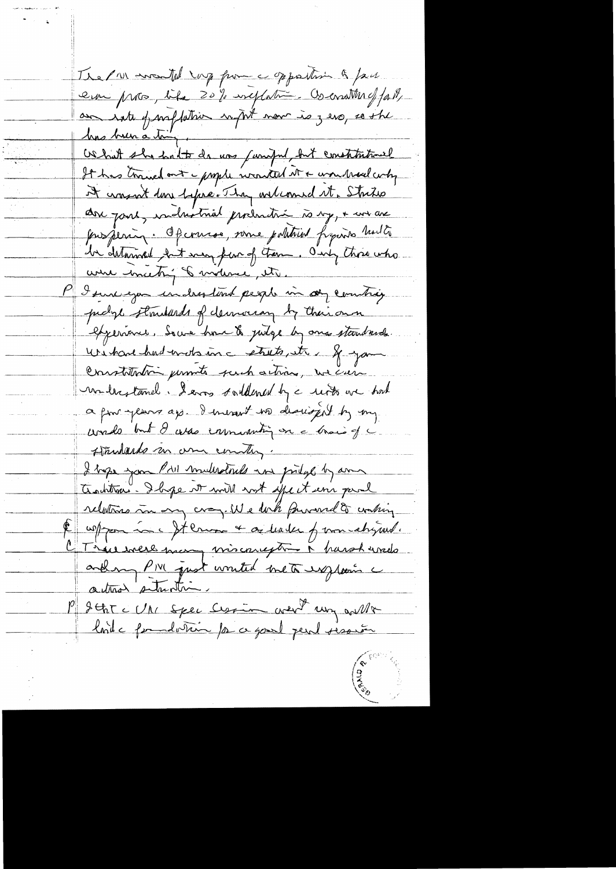The PIN wasted my fum a sportion & face era pros, life 20% ineplations comments of fast, am sate parfletion with now is zero, so the has been a tony has been a bien.<br>Os hat she had to da was funified, but constitutionel It has traved out a prople wanted it & won trad why it wasn't done before. They onlianed it, Strikes are joint, inclustmal production to my, + we are Jour pering. Of course, some political france had to la delarmed but say par of trem. Only three who were much of motive, its. I sure exa inclustant people in objection probable standards of democran by their own experience, Socia home & judge by one standards. without had write in a strate, it & you Constitution permits such actions, we can monderstand. I ever soutdened by a resto we had a pour-years ap - I mesent no descript by my words but I was enumerating on a train of a Himmlards an une country. I hope you PAI multiples in priege by any Antonio. Il se vo mill not effect un paul relations in my cray. We look proved to conting un pour me It cours + or leader of mon chyand. CT ince were many viscouragement parohered and my PIVI quot wonted meta explain a actions subscribe P SthT c UN Spec Cession went un wille lorde formalerin para good peut pession